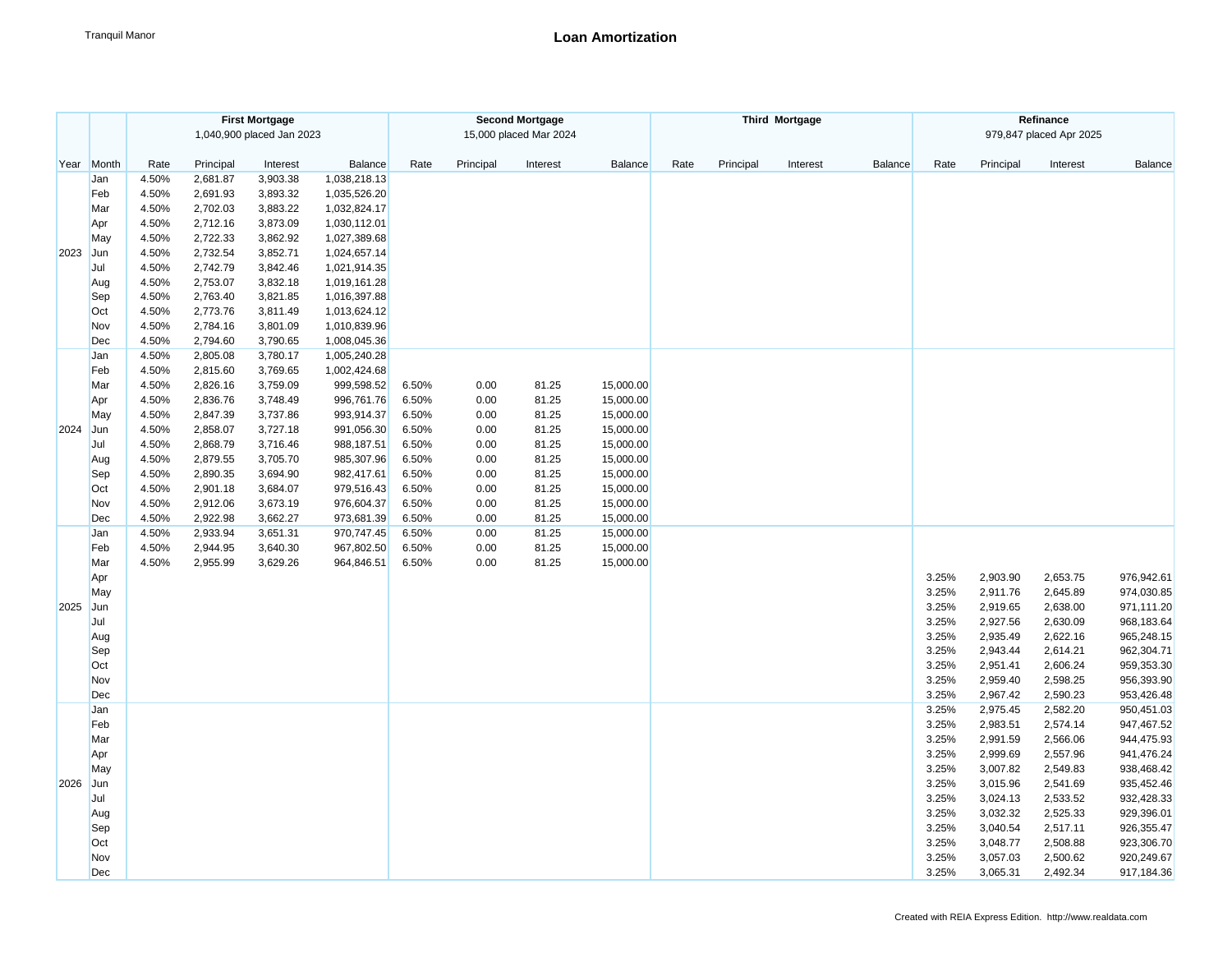|      |            | <b>First Mortgage</b><br>1,040,900 placed Jan 2023 |                      |                      |                              |       |           | <b>Second Mortgage</b><br>15,000 placed Mar 2024 |           |      |           | <b>Third Mortgage</b> |         | Refinance<br>979,847 placed Apr 2025 |                      |                      |                          |  |
|------|------------|----------------------------------------------------|----------------------|----------------------|------------------------------|-------|-----------|--------------------------------------------------|-----------|------|-----------|-----------------------|---------|--------------------------------------|----------------------|----------------------|--------------------------|--|
| Year | Month      | Rate                                               | Principal            | Interest             | Balance                      | Rate  | Principal | Interest                                         | Balance   | Rate | Principal | Interest              | Balance | Rate                                 | Principal            | Interest             | Balance                  |  |
|      | Jan        | 4.50%                                              | 2,681.87             | 3,903.38             | 1,038,218.13                 |       |           |                                                  |           |      |           |                       |         |                                      |                      |                      |                          |  |
|      | Feb        | 4.50%                                              | 2,691.93             | 3,893.32             | 1,035,526.20                 |       |           |                                                  |           |      |           |                       |         |                                      |                      |                      |                          |  |
|      | Mar        | 4.50%                                              | 2,702.03             | 3,883.22             | 1,032,824.17                 |       |           |                                                  |           |      |           |                       |         |                                      |                      |                      |                          |  |
|      | Apr        | 4.50%                                              | 2,712.16             | 3,873.09             | 1,030,112.01                 |       |           |                                                  |           |      |           |                       |         |                                      |                      |                      |                          |  |
|      | May        | 4.50%                                              | 2,722.33             | 3,862.92             | 1,027,389.68                 |       |           |                                                  |           |      |           |                       |         |                                      |                      |                      |                          |  |
| 2023 | Jun        | 4.50%                                              | 2,732.54             | 3,852.71             | 1,024,657.14                 |       |           |                                                  |           |      |           |                       |         |                                      |                      |                      |                          |  |
|      | Jul        | 4.50%                                              | 2,742.79             | 3,842.46             | 1,021,914.35                 |       |           |                                                  |           |      |           |                       |         |                                      |                      |                      |                          |  |
|      | Aug        | 4.50%                                              | 2,753.07             | 3,832.18             | 1,019,161.28                 |       |           |                                                  |           |      |           |                       |         |                                      |                      |                      |                          |  |
|      | Sep        | 4.50%                                              | 2,763.40             | 3,821.85             | 1,016,397.88                 |       |           |                                                  |           |      |           |                       |         |                                      |                      |                      |                          |  |
|      | Oct        | 4.50%                                              | 2,773.76             | 3,811.49             | 1,013,624.12                 |       |           |                                                  |           |      |           |                       |         |                                      |                      |                      |                          |  |
|      | Nov        | 4.50%                                              | 2,784.16             | 3,801.09             | 1,010,839.96                 |       |           |                                                  |           |      |           |                       |         |                                      |                      |                      |                          |  |
|      | Dec        | 4.50%                                              | 2,794.60             | 3,790.65             | 1,008,045.36                 |       |           |                                                  |           |      |           |                       |         |                                      |                      |                      |                          |  |
|      | Jan<br>Feb | 4.50%<br>4.50%                                     | 2,805.08<br>2,815.60 | 3,780.17<br>3,769.65 | 1,005,240.28<br>1,002,424.68 |       |           |                                                  |           |      |           |                       |         |                                      |                      |                      |                          |  |
|      | Mar        | 4.50%                                              | 2,826.16             | 3,759.09             | 999,598.52                   | 6.50% | 0.00      | 81.25                                            | 15,000.00 |      |           |                       |         |                                      |                      |                      |                          |  |
|      | Apr        | 4.50%                                              | 2,836.76             | 3,748.49             | 996,761.76                   | 6.50% | 0.00      | 81.25                                            | 15,000.00 |      |           |                       |         |                                      |                      |                      |                          |  |
|      | May        | 4.50%                                              | 2,847.39             | 3,737.86             | 993,914.37                   | 6.50% | 0.00      | 81.25                                            | 15,000.00 |      |           |                       |         |                                      |                      |                      |                          |  |
| 2024 | Jun        | 4.50%                                              | 2,858.07             | 3,727.18             | 991,056.30                   | 6.50% | 0.00      | 81.25                                            | 15,000.00 |      |           |                       |         |                                      |                      |                      |                          |  |
|      | Jul        | 4.50%                                              | 2,868.79             | 3,716.46             | 988,187.51                   | 6.50% | 0.00      | 81.25                                            | 15,000.00 |      |           |                       |         |                                      |                      |                      |                          |  |
|      | Aug        | 4.50%                                              | 2,879.55             | 3,705.70             | 985,307.96                   | 6.50% | 0.00      | 81.25                                            | 15,000.00 |      |           |                       |         |                                      |                      |                      |                          |  |
|      | Sep        | 4.50%                                              | 2,890.35             | 3,694.90             | 982,417.61                   | 6.50% | 0.00      | 81.25                                            | 15,000.00 |      |           |                       |         |                                      |                      |                      |                          |  |
|      | Oct        | 4.50%                                              | 2,901.18             | 3,684.07             | 979,516.43                   | 6.50% | 0.00      | 81.25                                            | 15,000.00 |      |           |                       |         |                                      |                      |                      |                          |  |
|      | Nov        | 4.50%                                              | 2,912.06             | 3,673.19             | 976,604.37                   | 6.50% | 0.00      | 81.25                                            | 15,000.00 |      |           |                       |         |                                      |                      |                      |                          |  |
|      | Dec        | 4.50%                                              | 2,922.98             | 3,662.27             | 973,681.39                   | 6.50% | 0.00      | 81.25                                            | 15,000.00 |      |           |                       |         |                                      |                      |                      |                          |  |
|      | Jan        | 4.50%                                              | 2,933.94             | 3,651.31             | 970,747.45                   | 6.50% | 0.00      | 81.25                                            | 15,000.00 |      |           |                       |         |                                      |                      |                      |                          |  |
|      | Feb        | 4.50%                                              | 2,944.95             | 3,640.30             | 967,802.50                   | 6.50% | 0.00      | 81.25                                            | 15,000.00 |      |           |                       |         |                                      |                      |                      |                          |  |
|      | Mar        | 4.50%                                              | 2,955.99             | 3,629.26             | 964,846.51                   | 6.50% | 0.00      | 81.25                                            | 15,000.00 |      |           |                       |         |                                      |                      |                      |                          |  |
|      | Apr        |                                                    |                      |                      |                              |       |           |                                                  |           |      |           |                       |         | 3.25%                                | 2,903.90             | 2,653.75             | 976,942.61               |  |
|      | May        |                                                    |                      |                      |                              |       |           |                                                  |           |      |           |                       |         | 3.25%                                | 2,911.76             | 2,645.89             | 974,030.85               |  |
| 2025 | Jun        |                                                    |                      |                      |                              |       |           |                                                  |           |      |           |                       |         | 3.25%                                | 2,919.65             | 2,638.00             | 971,111.20               |  |
|      | Jul        |                                                    |                      |                      |                              |       |           |                                                  |           |      |           |                       |         | 3.25%                                | 2,927.56             | 2,630.09             | 968,183.64               |  |
|      | Aug        |                                                    |                      |                      |                              |       |           |                                                  |           |      |           |                       |         | 3.25%                                | 2,935.49             | 2,622.16             | 965,248.15               |  |
|      | Sep<br>Oct |                                                    |                      |                      |                              |       |           |                                                  |           |      |           |                       |         | 3.25%<br>3.25%                       | 2,943.44<br>2,951.41 | 2,614.21<br>2,606.24 | 962,304.71<br>959,353.30 |  |
|      | Nov        |                                                    |                      |                      |                              |       |           |                                                  |           |      |           |                       |         | 3.25%                                | 2,959.40             | 2,598.25             | 956,393.90               |  |
|      | Dec        |                                                    |                      |                      |                              |       |           |                                                  |           |      |           |                       |         | 3.25%                                | 2,967.42             | 2,590.23             | 953,426.48               |  |
|      | Jan        |                                                    |                      |                      |                              |       |           |                                                  |           |      |           |                       |         | 3.25%                                | 2,975.45             | 2,582.20             | 950,451.03               |  |
|      | Feb        |                                                    |                      |                      |                              |       |           |                                                  |           |      |           |                       |         | 3.25%                                | 2,983.51             | 2,574.14             | 947,467.52               |  |
|      | Mar        |                                                    |                      |                      |                              |       |           |                                                  |           |      |           |                       |         | 3.25%                                | 2,991.59             | 2,566.06             | 944,475.93               |  |
|      | Apr        |                                                    |                      |                      |                              |       |           |                                                  |           |      |           |                       |         | 3.25%                                | 2,999.69             | 2,557.96             | 941,476.24               |  |
|      | May        |                                                    |                      |                      |                              |       |           |                                                  |           |      |           |                       |         | 3.25%                                | 3,007.82             | 2,549.83             | 938,468.42               |  |
| 2026 | Jun        |                                                    |                      |                      |                              |       |           |                                                  |           |      |           |                       |         | 3.25%                                | 3,015.96             | 2,541.69             | 935,452.46               |  |
|      | Jul        |                                                    |                      |                      |                              |       |           |                                                  |           |      |           |                       |         | 3.25%                                | 3,024.13             | 2,533.52             | 932,428.33               |  |
|      | Aug        |                                                    |                      |                      |                              |       |           |                                                  |           |      |           |                       |         | 3.25%                                | 3,032.32             | 2,525.33             | 929,396.01               |  |
|      | Sep        |                                                    |                      |                      |                              |       |           |                                                  |           |      |           |                       |         | 3.25%                                | 3,040.54             | 2,517.11             | 926,355.47               |  |
|      | Oct        |                                                    |                      |                      |                              |       |           |                                                  |           |      |           |                       |         | 3.25%                                | 3,048.77             | 2,508.88             | 923,306.70               |  |
|      | Nov        |                                                    |                      |                      |                              |       |           |                                                  |           |      |           |                       |         | 3.25%                                | 3,057.03             | 2,500.62             | 920,249.67               |  |
|      | Dec        |                                                    |                      |                      |                              |       |           |                                                  |           |      |           |                       |         | 3.25%                                | 3,065.31             | 2,492.34             | 917,184.36               |  |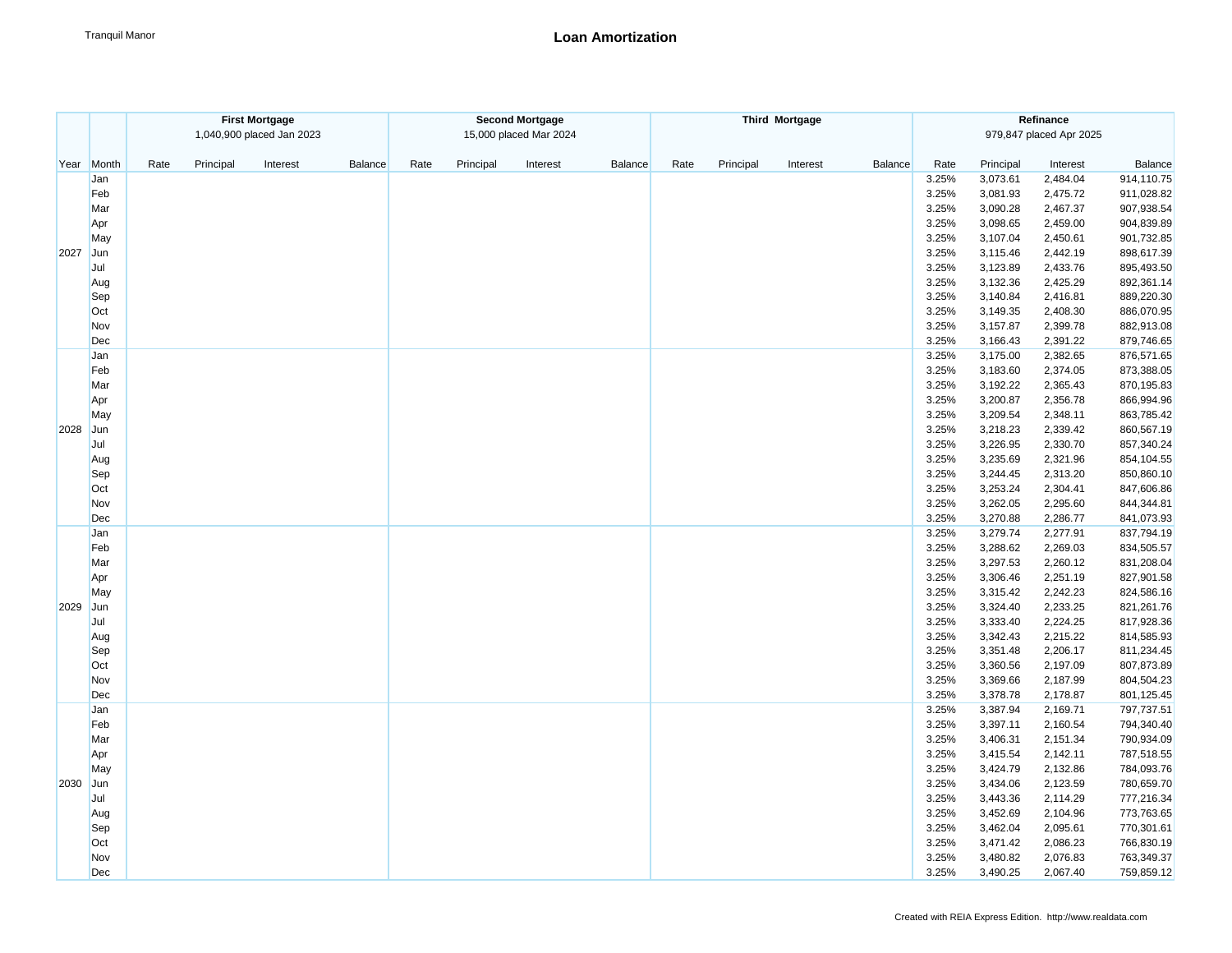|      | <b>First Mortgage</b> |                   |                           |         | <b>Second Mortgage</b> |           |                        |                |      |           | <b>Third Mortgage</b> |         | Refinance               |           |          |            |  |
|------|-----------------------|-------------------|---------------------------|---------|------------------------|-----------|------------------------|----------------|------|-----------|-----------------------|---------|-------------------------|-----------|----------|------------|--|
|      |                       |                   | 1,040,900 placed Jan 2023 |         |                        |           | 15,000 placed Mar 2024 |                |      |           |                       |         | 979,847 placed Apr 2025 |           |          |            |  |
| Year | Month                 | Rate<br>Principal | Interest                  | Balance | Rate                   | Principal | Interest               | <b>Balance</b> | Rate | Principal | Interest              | Balance | Rate                    | Principal | Interest | Balance    |  |
|      | Jan                   |                   |                           |         |                        |           |                        |                |      |           |                       |         | 3.25%                   | 3,073.61  | 2,484.04 | 914,110.75 |  |
|      | Feb                   |                   |                           |         |                        |           |                        |                |      |           |                       |         | 3.25%                   | 3,081.93  | 2,475.72 | 911,028.82 |  |
|      | Mar                   |                   |                           |         |                        |           |                        |                |      |           |                       |         | 3.25%                   | 3,090.28  | 2,467.37 | 907,938.54 |  |
|      | Apr                   |                   |                           |         |                        |           |                        |                |      |           |                       |         | 3.25%                   | 3,098.65  | 2,459.00 | 904,839.89 |  |
|      | May                   |                   |                           |         |                        |           |                        |                |      |           |                       |         | 3.25%                   | 3,107.04  | 2,450.61 | 901,732.85 |  |
| 2027 | Jun                   |                   |                           |         |                        |           |                        |                |      |           |                       |         | 3.25%                   | 3,115.46  | 2,442.19 | 898,617.39 |  |
|      | Jul                   |                   |                           |         |                        |           |                        |                |      |           |                       |         | 3.25%                   | 3,123.89  | 2,433.76 | 895,493.50 |  |
|      | Aug                   |                   |                           |         |                        |           |                        |                |      |           |                       |         | 3.25%                   | 3,132.36  | 2,425.29 | 892,361.14 |  |
|      | Sep                   |                   |                           |         |                        |           |                        |                |      |           |                       |         | 3.25%                   | 3,140.84  | 2,416.81 | 889,220.30 |  |
|      | Oct                   |                   |                           |         |                        |           |                        |                |      |           |                       |         | 3.25%                   | 3,149.35  | 2,408.30 | 886,070.95 |  |
|      | Nov                   |                   |                           |         |                        |           |                        |                |      |           |                       |         | 3.25%                   | 3,157.87  | 2,399.78 | 882,913.08 |  |
|      | Dec                   |                   |                           |         |                        |           |                        |                |      |           |                       |         | 3.25%                   | 3,166.43  | 2,391.22 | 879,746.65 |  |
|      | Jan                   |                   |                           |         |                        |           |                        |                |      |           |                       |         | 3.25%                   | 3,175.00  | 2,382.65 | 876,571.65 |  |
|      | Feb                   |                   |                           |         |                        |           |                        |                |      |           |                       |         | 3.25%                   | 3,183.60  | 2,374.05 | 873,388.05 |  |
|      | Mar                   |                   |                           |         |                        |           |                        |                |      |           |                       |         | 3.25%                   | 3,192.22  | 2,365.43 | 870,195.83 |  |
|      | Apr                   |                   |                           |         |                        |           |                        |                |      |           |                       |         | 3.25%                   | 3,200.87  | 2,356.78 | 866,994.96 |  |
|      | May                   |                   |                           |         |                        |           |                        |                |      |           |                       |         | 3.25%                   | 3,209.54  | 2,348.11 | 863,785.42 |  |
| 2028 | Jun                   |                   |                           |         |                        |           |                        |                |      |           |                       |         | 3.25%                   | 3,218.23  | 2,339.42 | 860,567.19 |  |
|      | Jul                   |                   |                           |         |                        |           |                        |                |      |           |                       |         | 3.25%                   | 3,226.95  | 2,330.70 | 857,340.24 |  |
|      | Aug                   |                   |                           |         |                        |           |                        |                |      |           |                       |         | 3.25%                   | 3,235.69  | 2,321.96 | 854,104.55 |  |
|      | Sep                   |                   |                           |         |                        |           |                        |                |      |           |                       |         | 3.25%                   | 3,244.45  | 2,313.20 | 850,860.10 |  |
|      | Oct                   |                   |                           |         |                        |           |                        |                |      |           |                       |         | 3.25%                   | 3,253.24  | 2,304.41 | 847,606.86 |  |
|      | Nov                   |                   |                           |         |                        |           |                        |                |      |           |                       |         | 3.25%                   | 3,262.05  | 2,295.60 | 844,344.81 |  |
|      | Dec                   |                   |                           |         |                        |           |                        |                |      |           |                       |         | 3.25%                   | 3,270.88  | 2,286.77 | 841,073.93 |  |
|      | Jan                   |                   |                           |         |                        |           |                        |                |      |           |                       |         | 3.25%                   | 3,279.74  | 2,277.91 | 837,794.19 |  |
|      | Feb                   |                   |                           |         |                        |           |                        |                |      |           |                       |         | 3.25%                   | 3,288.62  | 2,269.03 | 834,505.57 |  |
|      | Mar                   |                   |                           |         |                        |           |                        |                |      |           |                       |         | 3.25%                   | 3,297.53  | 2,260.12 | 831,208.04 |  |
|      | Apr                   |                   |                           |         |                        |           |                        |                |      |           |                       |         | 3.25%                   | 3,306.46  | 2,251.19 | 827,901.58 |  |
|      | May                   |                   |                           |         |                        |           |                        |                |      |           |                       |         | 3.25%                   | 3,315.42  | 2,242.23 | 824,586.16 |  |
| 2029 | Jun                   |                   |                           |         |                        |           |                        |                |      |           |                       |         | 3.25%                   | 3,324.40  | 2,233.25 | 821,261.76 |  |
|      | Jul                   |                   |                           |         |                        |           |                        |                |      |           |                       |         | 3.25%                   | 3,333.40  | 2,224.25 | 817,928.36 |  |
|      | Aug                   |                   |                           |         |                        |           |                        |                |      |           |                       |         | 3.25%                   | 3,342.43  | 2,215.22 | 814,585.93 |  |
|      | Sep                   |                   |                           |         |                        |           |                        |                |      |           |                       |         | 3.25%                   | 3,351.48  | 2,206.17 | 811,234.45 |  |
|      | Oct                   |                   |                           |         |                        |           |                        |                |      |           |                       |         | 3.25%                   | 3,360.56  | 2,197.09 | 807,873.89 |  |
|      | Nov                   |                   |                           |         |                        |           |                        |                |      |           |                       |         | 3.25%                   | 3,369.66  | 2,187.99 | 804,504.23 |  |
|      | Dec                   |                   |                           |         |                        |           |                        |                |      |           |                       |         | 3.25%                   | 3,378.78  | 2,178.87 | 801,125.45 |  |
|      | Jan                   |                   |                           |         |                        |           |                        |                |      |           |                       |         | 3.25%                   | 3,387.94  | 2,169.71 | 797,737.51 |  |
|      | Feb                   |                   |                           |         |                        |           |                        |                |      |           |                       |         | 3.25%                   | 3,397.11  | 2,160.54 | 794,340.40 |  |
|      | Mar                   |                   |                           |         |                        |           |                        |                |      |           |                       |         | 3.25%                   | 3,406.31  | 2,151.34 | 790,934.09 |  |
|      | Apr                   |                   |                           |         |                        |           |                        |                |      |           |                       |         | 3.25%                   | 3,415.54  | 2,142.11 | 787,518.55 |  |
|      | May                   |                   |                           |         |                        |           |                        |                |      |           |                       |         | 3.25%                   | 3,424.79  | 2,132.86 | 784,093.76 |  |
| 2030 | Jun                   |                   |                           |         |                        |           |                        |                |      |           |                       |         | 3.25%                   | 3,434.06  | 2,123.59 | 780,659.70 |  |
|      | Jul                   |                   |                           |         |                        |           |                        |                |      |           |                       |         | 3.25%                   | 3,443.36  | 2,114.29 | 777,216.34 |  |
|      | Aug                   |                   |                           |         |                        |           |                        |                |      |           |                       |         | 3.25%                   | 3,452.69  | 2,104.96 | 773,763.65 |  |
|      | Sep                   |                   |                           |         |                        |           |                        |                |      |           |                       |         | 3.25%                   | 3,462.04  | 2,095.61 | 770,301.61 |  |
|      | Oct                   |                   |                           |         |                        |           |                        |                |      |           |                       |         | 3.25%                   | 3,471.42  | 2,086.23 | 766,830.19 |  |
|      | Nov                   |                   |                           |         |                        |           |                        |                |      |           |                       |         | 3.25%                   | 3,480.82  | 2,076.83 | 763,349.37 |  |
|      | Dec                   |                   |                           |         |                        |           |                        |                |      |           |                       |         | 3.25%                   | 3,490.25  | 2,067.40 | 759,859.12 |  |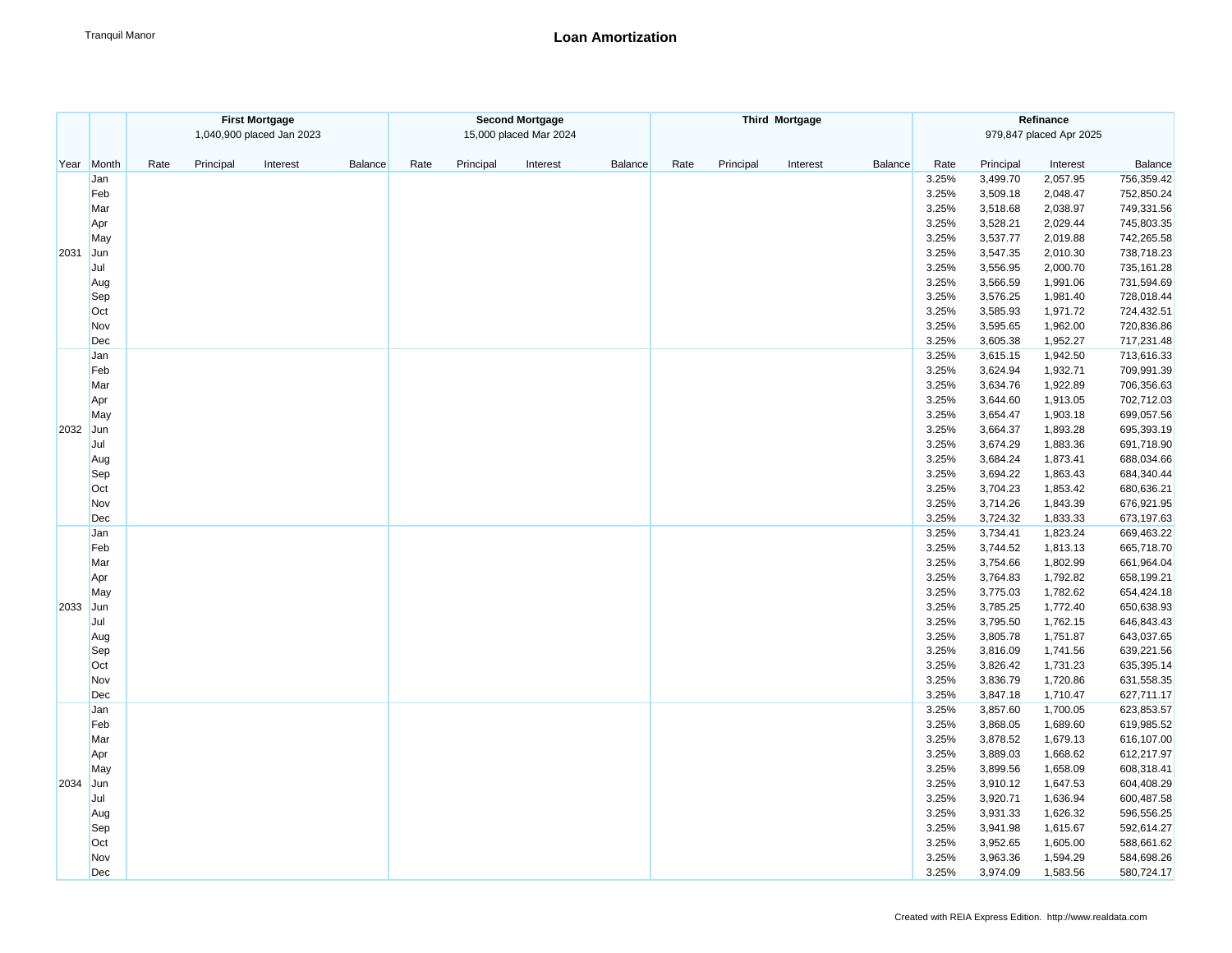|      | <b>First Mortgage</b> |                   |                           |         | <b>Second Mortgage</b> |           |                        |                |      |           | <b>Third Mortgage</b> |         | Refinance |           |                         |            |  |
|------|-----------------------|-------------------|---------------------------|---------|------------------------|-----------|------------------------|----------------|------|-----------|-----------------------|---------|-----------|-----------|-------------------------|------------|--|
|      |                       |                   | 1,040,900 placed Jan 2023 |         |                        |           | 15,000 placed Mar 2024 |                |      |           |                       |         |           |           | 979,847 placed Apr 2025 |            |  |
| Year | Month                 | Rate<br>Principal | Interest                  | Balance | Rate                   | Principal | Interest               | <b>Balance</b> | Rate | Principal | Interest              | Balance | Rate      | Principal | Interest                | Balance    |  |
|      | Jan                   |                   |                           |         |                        |           |                        |                |      |           |                       |         | 3.25%     | 3,499.70  | 2,057.95                | 756,359.42 |  |
|      | Feb                   |                   |                           |         |                        |           |                        |                |      |           |                       |         | 3.25%     | 3,509.18  | 2,048.47                | 752,850.24 |  |
|      | Mar                   |                   |                           |         |                        |           |                        |                |      |           |                       |         | 3.25%     | 3,518.68  | 2,038.97                | 749,331.56 |  |
|      | Apr                   |                   |                           |         |                        |           |                        |                |      |           |                       |         | 3.25%     | 3,528.21  | 2,029.44                | 745,803.35 |  |
|      | May                   |                   |                           |         |                        |           |                        |                |      |           |                       |         | 3.25%     | 3,537.77  | 2,019.88                | 742,265.58 |  |
| 2031 | Jun                   |                   |                           |         |                        |           |                        |                |      |           |                       |         | 3.25%     | 3,547.35  | 2,010.30                | 738,718.23 |  |
|      | Jul                   |                   |                           |         |                        |           |                        |                |      |           |                       |         | 3.25%     | 3,556.95  | 2,000.70                | 735,161.28 |  |
|      | Aug                   |                   |                           |         |                        |           |                        |                |      |           |                       |         | 3.25%     | 3,566.59  | 1,991.06                | 731,594.69 |  |
|      | Sep                   |                   |                           |         |                        |           |                        |                |      |           |                       |         | 3.25%     | 3,576.25  | 1,981.40                | 728,018.44 |  |
|      | Oct                   |                   |                           |         |                        |           |                        |                |      |           |                       |         | 3.25%     | 3,585.93  | 1,971.72                | 724,432.51 |  |
|      | Nov                   |                   |                           |         |                        |           |                        |                |      |           |                       |         | 3.25%     | 3,595.65  | 1,962.00                | 720,836.86 |  |
|      | Dec                   |                   |                           |         |                        |           |                        |                |      |           |                       |         | 3.25%     | 3,605.38  | 1,952.27                | 717,231.48 |  |
|      | Jan                   |                   |                           |         |                        |           |                        |                |      |           |                       |         | 3.25%     | 3,615.15  | 1,942.50                | 713,616.33 |  |
|      | Feb                   |                   |                           |         |                        |           |                        |                |      |           |                       |         | 3.25%     | 3,624.94  | 1,932.71                | 709,991.39 |  |
|      | Mar                   |                   |                           |         |                        |           |                        |                |      |           |                       |         | 3.25%     | 3,634.76  | 1,922.89                | 706,356.63 |  |
|      | Apr                   |                   |                           |         |                        |           |                        |                |      |           |                       |         | 3.25%     | 3,644.60  | 1,913.05                | 702,712.03 |  |
|      | May                   |                   |                           |         |                        |           |                        |                |      |           |                       |         | 3.25%     | 3,654.47  | 1,903.18                | 699,057.56 |  |
| 2032 | Jun                   |                   |                           |         |                        |           |                        |                |      |           |                       |         | 3.25%     | 3,664.37  | 1,893.28                | 695,393.19 |  |
|      | Jul                   |                   |                           |         |                        |           |                        |                |      |           |                       |         | 3.25%     | 3,674.29  | 1,883.36                | 691,718.90 |  |
|      | Aug                   |                   |                           |         |                        |           |                        |                |      |           |                       |         | 3.25%     | 3,684.24  | 1,873.41                | 688,034.66 |  |
|      | Sep                   |                   |                           |         |                        |           |                        |                |      |           |                       |         | 3.25%     | 3,694.22  | 1,863.43                | 684,340.44 |  |
|      | Oct                   |                   |                           |         |                        |           |                        |                |      |           |                       |         | 3.25%     | 3,704.23  | 1,853.42                | 680,636.21 |  |
|      | Nov                   |                   |                           |         |                        |           |                        |                |      |           |                       |         | 3.25%     | 3,714.26  | 1,843.39                | 676,921.95 |  |
|      | Dec                   |                   |                           |         |                        |           |                        |                |      |           |                       |         | 3.25%     | 3,724.32  | 1,833.33                | 673,197.63 |  |
|      | Jan                   |                   |                           |         |                        |           |                        |                |      |           |                       |         | 3.25%     | 3,734.41  | 1,823.24                | 669,463.22 |  |
|      | Feb                   |                   |                           |         |                        |           |                        |                |      |           |                       |         | 3.25%     | 3,744.52  | 1,813.13                | 665,718.70 |  |
|      | Mar                   |                   |                           |         |                        |           |                        |                |      |           |                       |         | 3.25%     | 3,754.66  | 1,802.99                | 661,964.04 |  |
|      | Apr                   |                   |                           |         |                        |           |                        |                |      |           |                       |         | 3.25%     | 3,764.83  | 1,792.82                | 658,199.21 |  |
|      | May                   |                   |                           |         |                        |           |                        |                |      |           |                       |         | 3.25%     | 3,775.03  | 1,782.62                | 654,424.18 |  |
| 2033 | Jun                   |                   |                           |         |                        |           |                        |                |      |           |                       |         | 3.25%     | 3,785.25  | 1,772.40                | 650,638.93 |  |
|      | Jul                   |                   |                           |         |                        |           |                        |                |      |           |                       |         | 3.25%     | 3,795.50  | 1,762.15                | 646,843.43 |  |
|      | Aug                   |                   |                           |         |                        |           |                        |                |      |           |                       |         | 3.25%     | 3,805.78  | 1,751.87                | 643,037.65 |  |
|      | Sep                   |                   |                           |         |                        |           |                        |                |      |           |                       |         | 3.25%     | 3,816.09  | 1,741.56                | 639,221.56 |  |
|      | Oct                   |                   |                           |         |                        |           |                        |                |      |           |                       |         | 3.25%     | 3,826.42  | 1,731.23                | 635,395.14 |  |
|      | Nov                   |                   |                           |         |                        |           |                        |                |      |           |                       |         | 3.25%     | 3,836.79  | 1,720.86                | 631,558.35 |  |
|      | Dec                   |                   |                           |         |                        |           |                        |                |      |           |                       |         | 3.25%     | 3,847.18  | 1,710.47                | 627,711.17 |  |
|      | Jan                   |                   |                           |         |                        |           |                        |                |      |           |                       |         | 3.25%     | 3,857.60  | 1,700.05                | 623,853.57 |  |
|      | Feb                   |                   |                           |         |                        |           |                        |                |      |           |                       |         | 3.25%     | 3,868.05  | 1,689.60                | 619,985.52 |  |
|      | Mar                   |                   |                           |         |                        |           |                        |                |      |           |                       |         | 3.25%     | 3,878.52  | 1,679.13                | 616,107.00 |  |
|      | Apr                   |                   |                           |         |                        |           |                        |                |      |           |                       |         | 3.25%     | 3,889.03  | 1,668.62                | 612,217.97 |  |
|      | May                   |                   |                           |         |                        |           |                        |                |      |           |                       |         | 3.25%     | 3,899.56  | 1,658.09                | 608,318.41 |  |
| 2034 | Jun                   |                   |                           |         |                        |           |                        |                |      |           |                       |         | 3.25%     | 3,910.12  | 1,647.53                | 604,408.29 |  |
|      | Jul                   |                   |                           |         |                        |           |                        |                |      |           |                       |         | 3.25%     | 3,920.71  | 1,636.94                | 600,487.58 |  |
|      | Aug                   |                   |                           |         |                        |           |                        |                |      |           |                       |         | 3.25%     | 3,931.33  | 1,626.32                | 596,556.25 |  |
|      | Sep                   |                   |                           |         |                        |           |                        |                |      |           |                       |         | 3.25%     | 3,941.98  | 1,615.67                | 592,614.27 |  |
|      | Oct                   |                   |                           |         |                        |           |                        |                |      |           |                       |         | 3.25%     | 3,952.65  | 1,605.00                | 588,661.62 |  |
|      | Nov                   |                   |                           |         |                        |           |                        |                |      |           |                       |         | 3.25%     | 3,963.36  | 1,594.29                | 584,698.26 |  |
|      | Dec                   |                   |                           |         |                        |           |                        |                |      |           |                       |         | 3.25%     | 3,974.09  | 1,583.56                | 580,724.17 |  |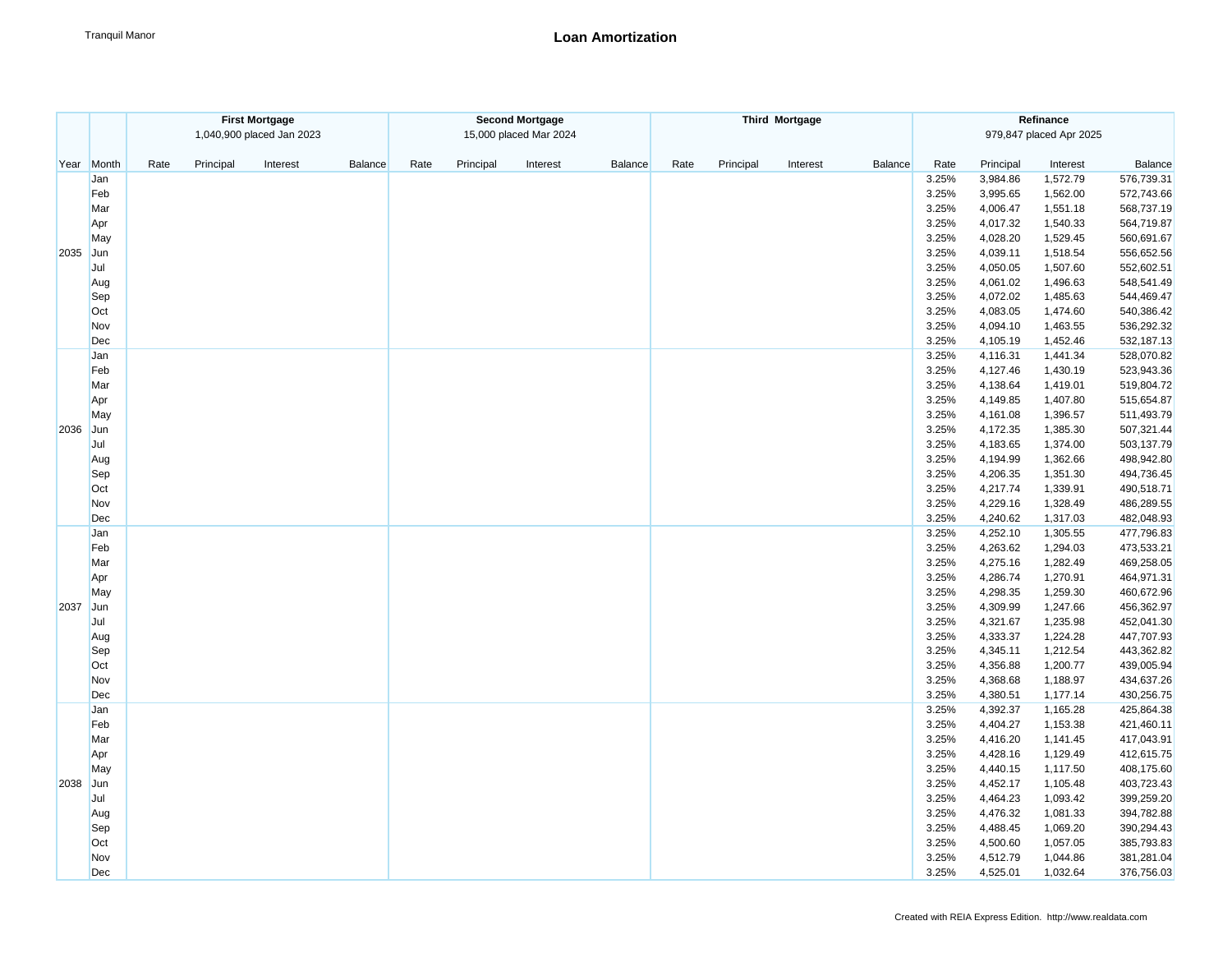|      |       | <b>First Mortgage</b><br>1,040,900 placed Jan 2023 |          | <b>Second Mortgage</b><br>15,000 placed Mar 2024 |      |           |          |                |      | <b>Third Mortgage</b> |          | Refinance<br>979,847 placed Apr 2025 |       |           |          |            |
|------|-------|----------------------------------------------------|----------|--------------------------------------------------|------|-----------|----------|----------------|------|-----------------------|----------|--------------------------------------|-------|-----------|----------|------------|
|      | Month | Rate<br>Principal                                  | Interest | Balance                                          | Rate | Principal | Interest | <b>Balance</b> | Rate | Principal             | Interest | <b>Balance</b>                       | Rate  | Principal | Interest | Balance    |
| Year | Jan   |                                                    |          |                                                  |      |           |          |                |      |                       |          |                                      | 3.25% | 3,984.86  | 1,572.79 | 576,739.31 |
|      | Feb   |                                                    |          |                                                  |      |           |          |                |      |                       |          |                                      | 3.25% | 3,995.65  | 1,562.00 | 572,743.66 |
|      | Mar   |                                                    |          |                                                  |      |           |          |                |      |                       |          |                                      | 3.25% | 4,006.47  | 1,551.18 | 568,737.19 |
|      | Apr   |                                                    |          |                                                  |      |           |          |                |      |                       |          |                                      | 3.25% | 4,017.32  | 1,540.33 | 564,719.87 |
|      | May   |                                                    |          |                                                  |      |           |          |                |      |                       |          |                                      | 3.25% | 4,028.20  | 1,529.45 | 560,691.67 |
| 2035 | Jun   |                                                    |          |                                                  |      |           |          |                |      |                       |          |                                      | 3.25% | 4,039.11  | 1,518.54 | 556,652.56 |
|      | Jul   |                                                    |          |                                                  |      |           |          |                |      |                       |          |                                      | 3.25% | 4,050.05  | 1,507.60 | 552,602.51 |
|      | Aug   |                                                    |          |                                                  |      |           |          |                |      |                       |          |                                      | 3.25% | 4,061.02  | 1,496.63 | 548,541.49 |
|      | Sep   |                                                    |          |                                                  |      |           |          |                |      |                       |          |                                      | 3.25% | 4,072.02  | 1,485.63 | 544,469.47 |
|      | Oct   |                                                    |          |                                                  |      |           |          |                |      |                       |          |                                      | 3.25% | 4,083.05  | 1,474.60 | 540,386.42 |
|      | Nov   |                                                    |          |                                                  |      |           |          |                |      |                       |          |                                      | 3.25% | 4,094.10  | 1,463.55 | 536,292.32 |
|      | Dec   |                                                    |          |                                                  |      |           |          |                |      |                       |          |                                      | 3.25% | 4,105.19  | 1,452.46 | 532,187.13 |
|      | Jan   |                                                    |          |                                                  |      |           |          |                |      |                       |          |                                      | 3.25% | 4,116.31  | 1,441.34 | 528,070.82 |
|      | Feb   |                                                    |          |                                                  |      |           |          |                |      |                       |          |                                      | 3.25% | 4,127.46  | 1,430.19 | 523,943.36 |
|      | Mar   |                                                    |          |                                                  |      |           |          |                |      |                       |          |                                      | 3.25% | 4,138.64  | 1,419.01 | 519,804.72 |
|      | Apr   |                                                    |          |                                                  |      |           |          |                |      |                       |          |                                      | 3.25% | 4,149.85  | 1,407.80 | 515,654.87 |
|      | May   |                                                    |          |                                                  |      |           |          |                |      |                       |          |                                      | 3.25% | 4,161.08  | 1,396.57 | 511,493.79 |
| 2036 | Jun   |                                                    |          |                                                  |      |           |          |                |      |                       |          |                                      | 3.25% | 4,172.35  | 1,385.30 | 507,321.44 |
|      | Jul   |                                                    |          |                                                  |      |           |          |                |      |                       |          |                                      | 3.25% | 4,183.65  | 1,374.00 | 503,137.79 |
|      | Aug   |                                                    |          |                                                  |      |           |          |                |      |                       |          |                                      | 3.25% | 4,194.99  | 1,362.66 | 498,942.80 |
|      | Sep   |                                                    |          |                                                  |      |           |          |                |      |                       |          |                                      | 3.25% | 4,206.35  | 1,351.30 | 494,736.45 |
|      | Oct   |                                                    |          |                                                  |      |           |          |                |      |                       |          |                                      | 3.25% | 4,217.74  | 1,339.91 | 490,518.71 |
|      | Nov   |                                                    |          |                                                  |      |           |          |                |      |                       |          |                                      | 3.25% | 4,229.16  | 1,328.49 | 486,289.55 |
|      | Dec   |                                                    |          |                                                  |      |           |          |                |      |                       |          |                                      | 3.25% | 4,240.62  | 1,317.03 | 482,048.93 |
|      | Jan   |                                                    |          |                                                  |      |           |          |                |      |                       |          |                                      | 3.25% | 4,252.10  | 1,305.55 | 477,796.83 |
|      | Feb   |                                                    |          |                                                  |      |           |          |                |      |                       |          |                                      | 3.25% | 4,263.62  | 1,294.03 | 473,533.21 |
|      | Mar   |                                                    |          |                                                  |      |           |          |                |      |                       |          |                                      | 3.25% | 4,275.16  | 1,282.49 | 469,258.05 |
|      | Apr   |                                                    |          |                                                  |      |           |          |                |      |                       |          |                                      | 3.25% | 4,286.74  | 1,270.91 | 464,971.31 |
|      | May   |                                                    |          |                                                  |      |           |          |                |      |                       |          |                                      | 3.25% | 4,298.35  | 1,259.30 | 460,672.96 |
| 2037 | Jun   |                                                    |          |                                                  |      |           |          |                |      |                       |          |                                      | 3.25% | 4,309.99  | 1,247.66 | 456,362.97 |
|      | Jul   |                                                    |          |                                                  |      |           |          |                |      |                       |          |                                      | 3.25% | 4,321.67  | 1,235.98 | 452,041.30 |
|      | Aug   |                                                    |          |                                                  |      |           |          |                |      |                       |          |                                      | 3.25% | 4,333.37  | 1,224.28 | 447,707.93 |
|      | Sep   |                                                    |          |                                                  |      |           |          |                |      |                       |          |                                      | 3.25% | 4,345.11  | 1,212.54 | 443,362.82 |
|      | Oct   |                                                    |          |                                                  |      |           |          |                |      |                       |          |                                      | 3.25% | 4,356.88  | 1,200.77 | 439,005.94 |
|      | Nov   |                                                    |          |                                                  |      |           |          |                |      |                       |          |                                      | 3.25% | 4,368.68  | 1,188.97 | 434,637.26 |
|      | Dec   |                                                    |          |                                                  |      |           |          |                |      |                       |          |                                      | 3.25% | 4,380.51  | 1,177.14 | 430,256.75 |
|      | Jan   |                                                    |          |                                                  |      |           |          |                |      |                       |          |                                      | 3.25% | 4,392.37  | 1,165.28 | 425,864.38 |
|      | Feb   |                                                    |          |                                                  |      |           |          |                |      |                       |          |                                      | 3.25% | 4,404.27  | 1,153.38 | 421,460.11 |
|      | Mar   |                                                    |          |                                                  |      |           |          |                |      |                       |          |                                      | 3.25% | 4,416.20  | 1,141.45 | 417,043.91 |
|      | Apr   |                                                    |          |                                                  |      |           |          |                |      |                       |          |                                      | 3.25% | 4,428.16  | 1,129.49 | 412,615.75 |
|      | May   |                                                    |          |                                                  |      |           |          |                |      |                       |          |                                      | 3.25% | 4,440.15  | 1,117.50 | 408,175.60 |
| 2038 | Jun   |                                                    |          |                                                  |      |           |          |                |      |                       |          |                                      | 3.25% | 4,452.17  | 1,105.48 | 403,723.43 |
|      | Jul   |                                                    |          |                                                  |      |           |          |                |      |                       |          |                                      | 3.25% | 4,464.23  | 1,093.42 | 399,259.20 |
|      | Aug   |                                                    |          |                                                  |      |           |          |                |      |                       |          |                                      | 3.25% | 4,476.32  | 1,081.33 | 394,782.88 |
|      | Sep   |                                                    |          |                                                  |      |           |          |                |      |                       |          |                                      | 3.25% | 4,488.45  | 1,069.20 | 390,294.43 |
|      | Oct   |                                                    |          |                                                  |      |           |          |                |      |                       |          |                                      | 3.25% | 4,500.60  | 1,057.05 | 385,793.83 |
|      | Nov   |                                                    |          |                                                  |      |           |          |                |      |                       |          |                                      | 3.25% | 4,512.79  | 1,044.86 | 381,281.04 |
|      | Dec   |                                                    |          |                                                  |      |           |          |                |      |                       |          |                                      | 3.25% | 4,525.01  | 1,032.64 | 376,756.03 |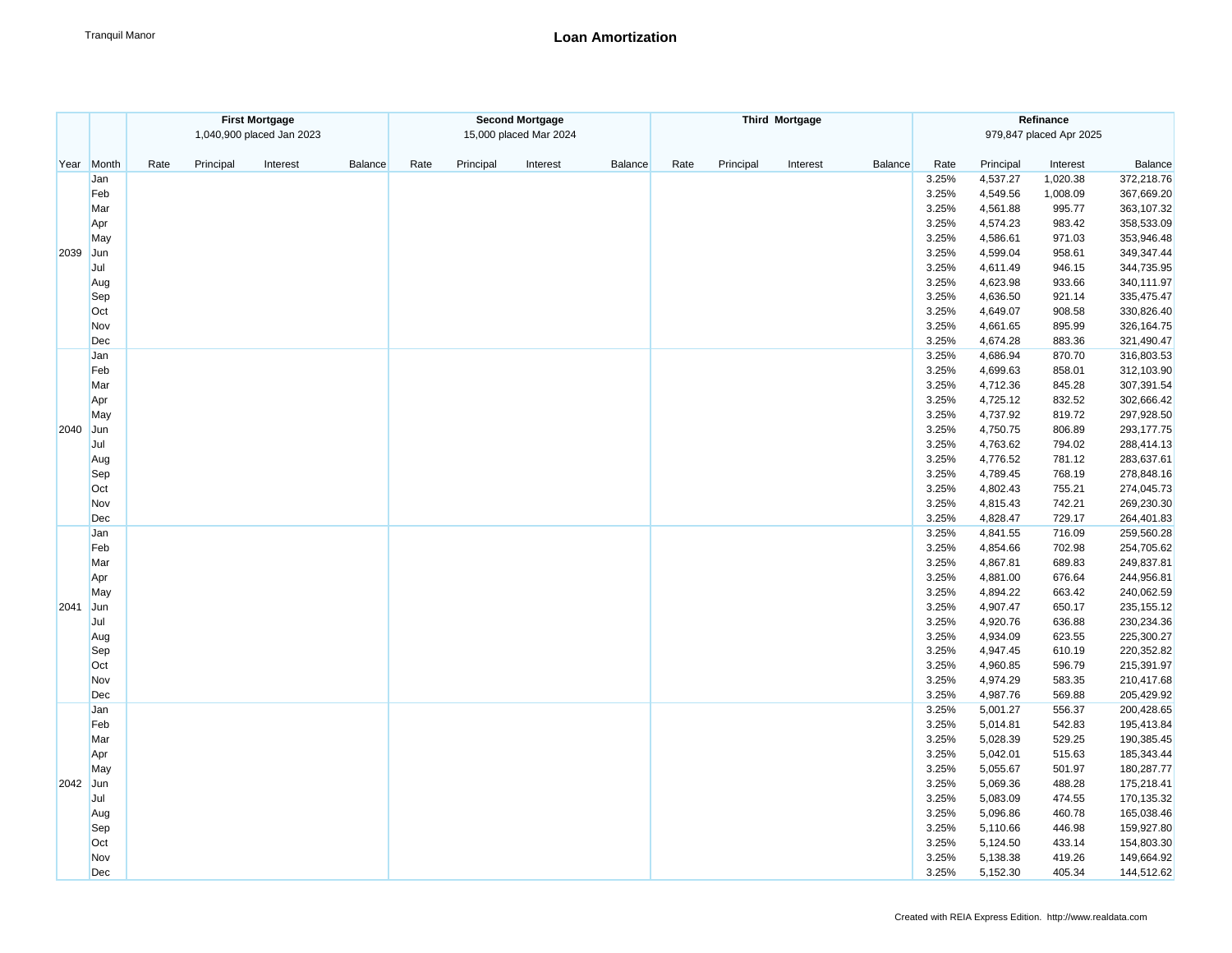|      | <b>First Mortgage</b> |                   |                           |         | <b>Second Mortgage</b> |           |                        |                |      |           | <b>Third Mortgage</b> |         | Refinance               |                      |                  |                          |  |  |
|------|-----------------------|-------------------|---------------------------|---------|------------------------|-----------|------------------------|----------------|------|-----------|-----------------------|---------|-------------------------|----------------------|------------------|--------------------------|--|--|
|      |                       |                   | 1,040,900 placed Jan 2023 |         |                        |           | 15,000 placed Mar 2024 |                |      |           |                       |         | 979,847 placed Apr 2025 |                      |                  |                          |  |  |
| Year | Month                 | Rate<br>Principal | Interest                  | Balance | Rate                   | Principal | Interest               | <b>Balance</b> | Rate | Principal | Interest              | Balance | Rate                    | Principal            | Interest         | Balance                  |  |  |
|      | Jan                   |                   |                           |         |                        |           |                        |                |      |           |                       |         | 3.25%                   | 4,537.27             | 1,020.38         | 372,218.76               |  |  |
|      | Feb                   |                   |                           |         |                        |           |                        |                |      |           |                       |         | 3.25%                   | 4,549.56             | 1,008.09         | 367,669.20               |  |  |
|      | Mar                   |                   |                           |         |                        |           |                        |                |      |           |                       |         | 3.25%                   | 4,561.88             | 995.77           | 363,107.32               |  |  |
|      | Apr                   |                   |                           |         |                        |           |                        |                |      |           |                       |         | 3.25%                   | 4,574.23             | 983.42           | 358,533.09               |  |  |
|      | May                   |                   |                           |         |                        |           |                        |                |      |           |                       |         | 3.25%                   | 4,586.61             | 971.03           | 353,946.48               |  |  |
| 2039 | Jun                   |                   |                           |         |                        |           |                        |                |      |           |                       |         | 3.25%                   | 4,599.04             | 958.61           | 349,347.44               |  |  |
|      | Jul                   |                   |                           |         |                        |           |                        |                |      |           |                       |         | 3.25%                   | 4,611.49             | 946.15           | 344,735.95               |  |  |
|      | Aug                   |                   |                           |         |                        |           |                        |                |      |           |                       |         | 3.25%                   | 4,623.98             | 933.66           | 340,111.97               |  |  |
|      | Sep                   |                   |                           |         |                        |           |                        |                |      |           |                       |         | 3.25%                   | 4,636.50             | 921.14           | 335,475.47               |  |  |
|      | Oct                   |                   |                           |         |                        |           |                        |                |      |           |                       |         | 3.25%                   | 4,649.07             | 908.58           | 330,826.40               |  |  |
|      | Nov                   |                   |                           |         |                        |           |                        |                |      |           |                       |         | 3.25%                   | 4,661.65             | 895.99           | 326,164.75               |  |  |
|      | Dec                   |                   |                           |         |                        |           |                        |                |      |           |                       |         | 3.25%                   | 4,674.28             | 883.36           | 321,490.47               |  |  |
|      | Jan                   |                   |                           |         |                        |           |                        |                |      |           |                       |         | 3.25%                   | 4,686.94             | 870.70           | 316,803.53               |  |  |
|      | Feb                   |                   |                           |         |                        |           |                        |                |      |           |                       |         | 3.25%                   | 4,699.63             | 858.01           | 312,103.90               |  |  |
|      | Mar                   |                   |                           |         |                        |           |                        |                |      |           |                       |         | 3.25%                   | 4,712.36             | 845.28           | 307,391.54               |  |  |
|      | Apr                   |                   |                           |         |                        |           |                        |                |      |           |                       |         | 3.25%                   | 4,725.12             | 832.52           | 302,666.42               |  |  |
|      | May                   |                   |                           |         |                        |           |                        |                |      |           |                       |         | 3.25%                   | 4,737.92             | 819.72           | 297,928.50               |  |  |
| 2040 | Jun                   |                   |                           |         |                        |           |                        |                |      |           |                       |         | 3.25%                   | 4,750.75             | 806.89           | 293,177.75               |  |  |
|      | Jul                   |                   |                           |         |                        |           |                        |                |      |           |                       |         | 3.25%                   | 4,763.62             | 794.02           | 288,414.13               |  |  |
|      | Aug                   |                   |                           |         |                        |           |                        |                |      |           |                       |         | 3.25%                   | 4,776.52             | 781.12           | 283,637.61               |  |  |
|      | Sep                   |                   |                           |         |                        |           |                        |                |      |           |                       |         | 3.25%                   | 4,789.45             | 768.19           | 278,848.16               |  |  |
|      | Oct                   |                   |                           |         |                        |           |                        |                |      |           |                       |         | 3.25%                   | 4,802.43             | 755.21           | 274,045.73               |  |  |
|      | Nov                   |                   |                           |         |                        |           |                        |                |      |           |                       |         | 3.25%                   | 4,815.43             | 742.21           | 269,230.30               |  |  |
|      | Dec                   |                   |                           |         |                        |           |                        |                |      |           |                       |         | 3.25%                   | 4,828.47             | 729.17           | 264,401.83               |  |  |
|      | Jan                   |                   |                           |         |                        |           |                        |                |      |           |                       |         | 3.25%                   | 4,841.55             | 716.09           | 259,560.28               |  |  |
|      | Feb                   |                   |                           |         |                        |           |                        |                |      |           |                       |         | 3.25%                   | 4,854.66             | 702.98           | 254,705.62               |  |  |
|      | Mar                   |                   |                           |         |                        |           |                        |                |      |           |                       |         | 3.25%                   | 4,867.81             | 689.83           | 249,837.81               |  |  |
|      | Apr                   |                   |                           |         |                        |           |                        |                |      |           |                       |         | 3.25%                   | 4,881.00             | 676.64           | 244,956.81               |  |  |
|      | May                   |                   |                           |         |                        |           |                        |                |      |           |                       |         | 3.25%                   | 4,894.22             | 663.42           | 240,062.59               |  |  |
| 2041 | Jun                   |                   |                           |         |                        |           |                        |                |      |           |                       |         | 3.25%                   | 4,907.47             | 650.17           | 235, 155. 12             |  |  |
|      | Jul                   |                   |                           |         |                        |           |                        |                |      |           |                       |         | 3.25%                   | 4,920.76             | 636.88           | 230,234.36               |  |  |
|      | Aug                   |                   |                           |         |                        |           |                        |                |      |           |                       |         | 3.25%                   | 4,934.09             | 623.55           | 225,300.27               |  |  |
|      | Sep                   |                   |                           |         |                        |           |                        |                |      |           |                       |         | 3.25%                   | 4,947.45             | 610.19           | 220,352.82               |  |  |
|      | Oct                   |                   |                           |         |                        |           |                        |                |      |           |                       |         | 3.25%                   | 4,960.85             | 596.79           | 215,391.97               |  |  |
|      | Nov                   |                   |                           |         |                        |           |                        |                |      |           |                       |         | 3.25%                   | 4,974.29             | 583.35           | 210,417.68               |  |  |
|      | Dec                   |                   |                           |         |                        |           |                        |                |      |           |                       |         | 3.25%                   | 4,987.76             | 569.88           | 205,429.92               |  |  |
|      | Jan                   |                   |                           |         |                        |           |                        |                |      |           |                       |         | 3.25%                   | 5,001.27             | 556.37           | 200,428.65               |  |  |
|      | Feb                   |                   |                           |         |                        |           |                        |                |      |           |                       |         | 3.25%                   | 5,014.81             | 542.83           | 195,413.84               |  |  |
|      | Mar                   |                   |                           |         |                        |           |                        |                |      |           |                       |         | 3.25%                   | 5,028.39             | 529.25           | 190,385.45               |  |  |
|      | Apr                   |                   |                           |         |                        |           |                        |                |      |           |                       |         | 3.25%                   | 5,042.01             | 515.63           | 185,343.44               |  |  |
|      | May                   |                   |                           |         |                        |           |                        |                |      |           |                       |         | 3.25%<br>3.25%          | 5,055.67             | 501.97           | 180,287.77               |  |  |
|      | 2042 Jun<br>Jul       |                   |                           |         |                        |           |                        |                |      |           |                       |         | 3.25%                   | 5,069.36<br>5,083.09 | 488.28<br>474.55 | 175,218.41<br>170,135.32 |  |  |
|      |                       |                   |                           |         |                        |           |                        |                |      |           |                       |         | 3.25%                   | 5,096.86             | 460.78           | 165,038.46               |  |  |
|      | Aug<br>Sep            |                   |                           |         |                        |           |                        |                |      |           |                       |         | 3.25%                   | 5,110.66             | 446.98           | 159,927.80               |  |  |
|      | Oct                   |                   |                           |         |                        |           |                        |                |      |           |                       |         | 3.25%                   | 5,124.50             | 433.14           | 154,803.30               |  |  |
|      | Nov                   |                   |                           |         |                        |           |                        |                |      |           |                       |         | 3.25%                   | 5,138.38             | 419.26           | 149,664.92               |  |  |
|      | Dec                   |                   |                           |         |                        |           |                        |                |      |           |                       |         | 3.25%                   | 5,152.30             | 405.34           | 144,512.62               |  |  |